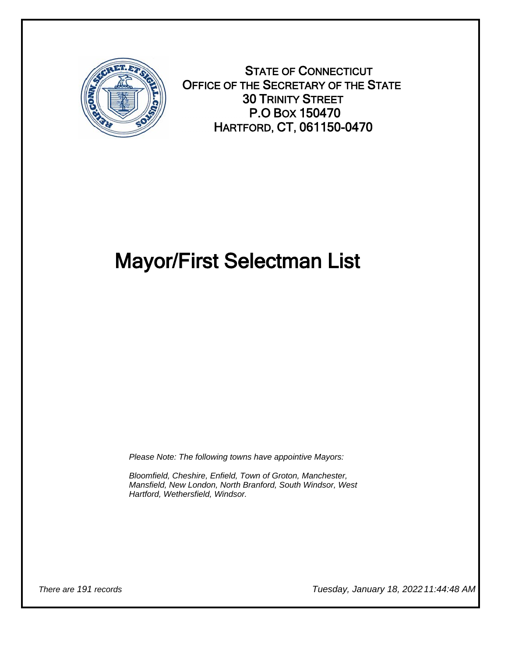

STATE OF CONNECTICUT OFFICE OF THE SECRETARY OF THE STATE 30 TRINITY STREET P.O BOX 150470 HARTFORD, CT, 061150-0470

## Mayor/First Selectman List

Please Note: The following towns have appointive Mayors:

Bloomfield, Cheshire, Enfield, Town of Groton, Manchester, Mansfield, New London, North Branford, South Windsor, West Hartford, Wethersfield, Windsor.

There are 191 records Tuesday, January 18, 2022 11:44:48 AM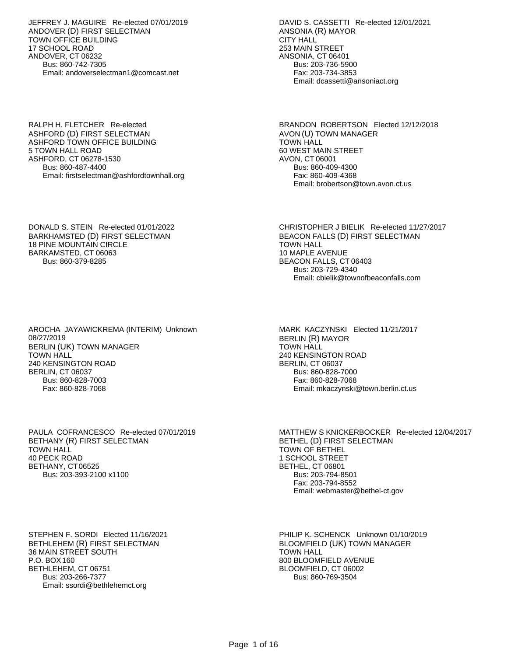JEFFREY J. MAGUIRE Re-elected 07/01/2019 ANDOVER (D) FIRST SELECTMAN TOWN OFFICE BUILDING 17 SCHOOL ROAD ANDOVER, CT 06232 Bus: 860-742-7305 Email: andoverselectman1@comcast.net

RALPH H. FLETCHER Re-elected ASHFORD (D) FIRST SELECTMAN ASHFORD TOWN OFFICE BUILDING 5 TOWN HALL ROAD ASHFORD, CT 06278-1530 Bus: 860-487-4400 Email: firstselectman@ashfordtownhall.org

DONALD S. STEIN Re-elected 01/01/2022 BARKHAMSTED (D) FIRST SELECTMAN 18 PINE MOUNTAIN CIRCLE BARKAMSTED, CT 06063 Bus: 860-379-8285

AROCHA JAYAWICKREMA (INTERIM) Unknown 08/27/2019 BERLIN (UK) TOWN MANAGER TOWN HALL 240 KENSINGTON ROAD BERLIN, CT 06037 Bus: 860-828-7003 Fax: 860-828-7068

PAULA COFRANCESCO Re-elected 07/01/2019 BETHANY (R) FIRST SELECTMAN TOWN HALL 40 PECK ROAD BETHANY, CT 06525 Bus: 203-393-2100 x1100

STEPHEN F. SORDI Elected 11/16/2021 BETHLEHEM (R) FIRST SELECTMAN 36 MAIN STREET SOUTH P.O. BOX 160 BETHLEHEM, CT 06751 Bus: 203-266-7377 Email: ssordi@bethlehemct.org

DAVID S. CASSETTI Re-elected 12/01/2021 ANSONIA (R) MAYOR CITY HALL 253 MAIN STREET ANSONIA, CT 06401 Bus: 203-736-5900 Fax: 203-734-3853 Email: dcassetti@ansoniact.org

BRANDON ROBERTSON Elected 12/12/2018 AVON (U) TOWN MANAGER TOWN HALL 60 WEST MAIN STREET AVON, CT 06001 Bus: 860-409-4300 Fax: 860-409-4368 Email: brobertson@town.avon.ct.us

CHRISTOPHER J BIELIK Re-elected 11/27/2017 BEACON FALLS (D) FIRST SELECTMAN TOWN HALL 10 MAPLE AVENUE BEACON FALLS, CT 06403 Bus: 203-729-4340 Email: cbielik@townofbeaconfalls.com

MARK KACZYNSKI Elected 11/21/2017 BERLIN (R) MAYOR TOWN HALL 240 KENSINGTON ROAD BERLIN, CT 06037 Bus: 860-828-7000 Fax: 860-828-7068 Email: mkaczynski@town.berlin.ct.us

MATTHEW S KNICKERBOCKER Re-elected 12/04/2017 BETHEL (D) FIRST SELECTMAN TOWN OF BETHEL 1 SCHOOL STREET BETHEL, CT 06801 Bus: 203-794-8501 Fax: 203-794-8552 Email: webmaster@bethel-ct.gov

PHILIP K. SCHENCK Unknown 01/10/2019 BLOOMFIELD (UK) TOWN MANAGER TOWN HALL 800 BLOOMFIELD AVENUE BLOOMFIELD, CT 06002 Bus: 860-769-3504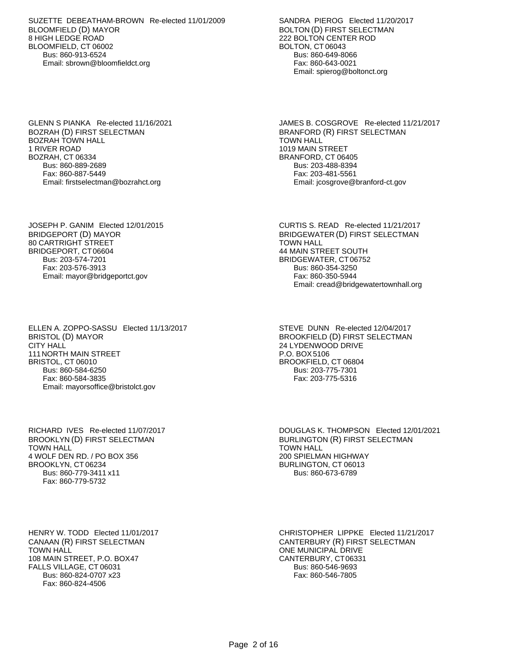SUZETTE DEBEATHAM-BROWN Re-elected 11/01/2009 BLOOMFIELD (D) MAYOR 8 HIGH LEDGE ROAD BLOOMFIELD, CT 06002 Bus: 860-913-6524 Email: sbrown@bloomfieldct.org

GLENN S PIANKA Re-elected 11/16/2021 BOZRAH (D) FIRST SELECTMAN BOZRAH TOWN HALL 1 RIVER ROAD BOZRAH, CT 06334 Bus: 860-889-2689 Fax: 860-887-5449 Email: firstselectman@bozrahct.org

JOSEPH P. GANIM Elected 12/01/2015 BRIDGEPORT (D) MAYOR 80 CARTRIGHT STREET BRIDGEPORT, CT 06604 Bus: 203-574-7201 Fax: 203-576-3913 Email: mayor@bridgeportct.gov

ELLEN A. ZOPPO-SASSU Elected 11/13/2017 BRISTOL (D) MAYOR CITY HALL 111 NORTH MAIN STREET BRISTOL, CT 06010 Bus: 860-584-6250 Fax: 860-584-3835 Email: mayorsoffice@bristolct.gov

RICHARD IVES Re-elected 11/07/2017 BROOKLYN (D) FIRST SELECTMAN TOWN HALL 4 WOLF DEN RD. / PO BOX 356 BROOKLYN, CT 06234 Bus: 860-779-3411 x11 Fax: 860-779-5732

HENRY W. TODD Elected 11/01/2017 CANAAN (R) FIRST SELECTMAN TOWN HALL 108 MAIN STREET, P.O. BOX47 FALLS VILLAGE, CT 06031 Bus: 860-824-0707 x23 Fax: 860-824-4506

SANDRA PIEROG Elected 11/20/2017 BOLTON (D) FIRST SELECTMAN 222 BOLTON CENTER ROD BOLTON, CT 06043 Bus: 860-649-8066 Fax: 860-643-0021 Email: spierog@boltonct.org

JAMES B. COSGROVE Re-elected 11/21/2017 BRANFORD (R) FIRST SELECTMAN TOWN HALL 1019 MAIN STREET BRANFORD, CT 06405 Bus: 203-488-8394 Fax: 203-481-5561 Email: jcosgrove@branford-ct.gov

CURTIS S. READ Re-elected 11/21/2017 BRIDGEWATER (D) FIRST SELECTMAN TOWN HALL 44 MAIN STREET SOUTH BRIDGEWATER, CT 06752 Bus: 860-354-3250 Fax: 860-350-5944 Email: cread@bridgewatertownhall.org

STEVE DUNN Re-elected 12/04/2017 BROOKFIELD (D) FIRST SELECTMAN 24 LYDENWOOD DRIVE P.O. BOX 5106 BROOKFIELD, CT 06804 Bus: 203-775-7301 Fax: 203-775-5316

DOUGLAS K. THOMPSON Elected 12/01/2021 BURLINGTON (R) FIRST SELECTMAN TOWN HALL 200 SPIELMAN HIGHWAY BURLINGTON, CT 06013 Bus: 860-673-6789

CHRISTOPHER LIPPKE Elected 11/21/2017 CANTERBURY (R) FIRST SELECTMAN ONE MUNICIPAL DRIVE CANTERBURY, CT 06331 Bus: 860-546-9693 Fax: 860-546-7805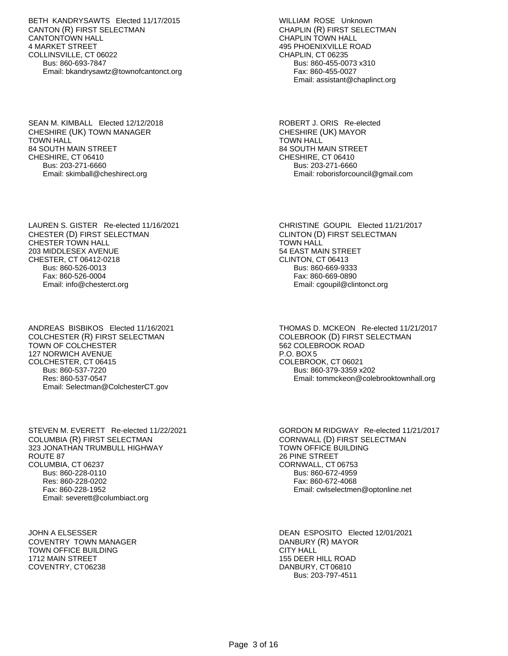BETH KANDRYSAWTS Elected 11/17/2015 CANTON (R) FIRST SELECTMAN CANTONTOWN HALL 4 MARKET STREET COLLINSVILLE, CT 06022 Bus: 860-693-7847 Email: bkandrysawtz@townofcantonct.org

SEAN M. KIMBALL Elected 12/12/2018 CHESHIRE (UK) TOWN MANAGER TOWN HALL 84 SOUTH MAIN STREET CHESHIRE, CT 06410 Bus: 203-271-6660 Email: skimball@cheshirect.org

LAUREN S. GISTER Re-elected 11/16/2021 CHESTER (D) FIRST SELECTMAN CHESTER TOWN HALL 203 MIDDLESEX AVENUE CHESTER, CT 06412-0218 Bus: 860-526-0013 Fax: 860-526-0004 Email: info@chesterct.org

ANDREAS BISBIKOS Elected 11/16/2021 COLCHESTER (R) FIRST SELECTMAN TOWN OF COLCHESTER 127 NORWICH AVENUE COLCHESTER, CT 06415 Bus: 860-537-7220 Res: 860-537-0547 Email: Selectman@ColchesterCT.gov

STEVEN M. EVERETT Re-elected 11/22/2021 COLUMBIA (R) FIRST SELECTMAN 323 JONATHAN TRUMBULL HIGHWAY ROUTE 87 COLUMBIA, CT 06237 Bus: 860-228-0110 Res: 860-228-0202 Fax: 860-228-1952 Email: severett@columbiact.org

JOHN A ELSESSER COVENTRY TOWN MANAGER TOWN OFFICE BUILDING 1712 MAIN STREET COVENTRY, CT 06238

WILLIAM ROSE Unknown CHAPLIN (R) FIRST SELECTMAN CHAPLIN TOWN HALL 495 PHOENIXVILLE ROAD CHAPLIN, CT 06235 Bus: 860-455-0073 x310 Fax: 860-455-0027 Email: assistant@chaplinct.org

ROBERT J. ORIS Re-elected CHESHIRE (UK) MAYOR TOWN HALL 84 SOUTH MAIN STREET CHESHIRE, CT 06410 Bus: 203-271-6660 Email: roborisforcouncil@gmail.com

CHRISTINE GOUPIL Elected 11/21/2017 CLINTON (D) FIRST SELECTMAN TOWN HALL 54 EAST MAIN STREET CLINTON, CT 06413 Bus: 860-669-9333 Fax: 860-669-0890 Email: cgoupil@clintonct.org

THOMAS D. MCKEON Re-elected 11/21/2017 COLEBROOK (D) FIRST SELECTMAN 562 COLEBROOK ROAD P.O. BOX 5 COLEBROOK, CT 06021 Bus: 860-379-3359 x202 Email: tommckeon@colebrooktownhall.org

GORDON M RIDGWAY Re-elected 11/21/2017 CORNWALL (D) FIRST SELECTMAN TOWN OFFICE BUILDING 26 PINE STREET CORNWALL, CT 06753 Bus: 860-672-4959 Fax: 860-672-4068 Email: cwlselectmen@optonline.net

DEAN ESPOSITO Elected 12/01/2021 DANBURY (R) MAYOR CITY HALL 155 DEER HILL ROAD DANBURY, CT 06810 Bus: 203-797-4511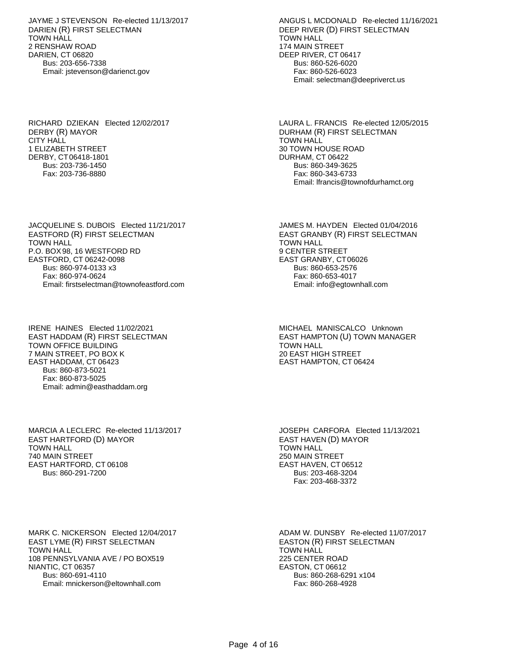JAYME J STEVENSON Re-elected 11/13/2017 DARIEN (R) FIRST SELECTMAN TOWN HALL 2 RENSHAW ROAD DARIEN, CT 06820 Bus: 203-656-7338 Email: jstevenson@darienct.gov

RICHARD DZIEKAN Elected 12/02/2017 DERBY (R) MAYOR CITY HALL 1 ELIZABETH STREET DERBY, CT 06418-1801 Bus: 203-736-1450 Fax: 203-736-8880

JACQUELINE S. DUBOIS Elected 11/21/2017 EASTFORD (R) FIRST SELECTMAN TOWN HALL P.O. BOX 98, 16 WESTFORD RD EASTFORD, CT 06242-0098 Bus: 860-974-0133 x3 Fax: 860-974-0624 Email: firstselectman@townofeastford.com

IRENE HAINES Elected 11/02/2021 EAST HADDAM (R) FIRST SELECTMAN TOWN OFFICE BUILDING 7 MAIN STREET, PO BOX K EAST HADDAM, CT 06423 Bus: 860-873-5021 Fax: 860-873-5025 Email: admin@easthaddam.org

MARCIA A LECLERC Re-elected 11/13/2017 EAST HARTFORD (D) MAYOR TOWN HALL 740 MAIN STREET EAST HARTFORD, CT 06108 Bus: 860-291-7200

MARK C. NICKERSON Elected 12/04/2017 EAST LYME (R) FIRST SELECTMAN TOWN HALL 108 PENNSYLVANIA AVE / PO BOX519 NIANTIC, CT 06357 Bus: 860-691-4110 Email: mnickerson@eltownhall.com

ANGUS L MCDONALD Re-elected 11/16/2021 DEEP RIVER (D) FIRST SELECTMAN TOWN HALL 174 MAIN STREET DEEP RIVER, CT 06417 Bus: 860-526-6020 Fax: 860-526-6023 Email: selectman@deepriverct.us

LAURA L. FRANCIS Re-elected 12/05/2015 DURHAM (R) FIRST SELECTMAN TOWN HALL 30 TOWN HOUSE ROAD DURHAM, CT 06422 Bus: 860-349-3625 Fax: 860-343-6733 Email: lfrancis@townofdurhamct.org

JAMES M. HAYDEN Elected 01/04/2016 EAST GRANBY (R) FIRST SELECTMAN TOWN HALL 9 CENTER STREET EAST GRANBY, CT 06026 Bus: 860-653-2576 Fax: 860-653-4017 Email: info@egtownhall.com

MICHAEL MANISCALCO Unknown EAST HAMPTON (U) TOWN MANAGER TOWN HALL 20 EAST HIGH STREET EAST HAMPTON, CT 06424

JOSEPH CARFORA Elected 11/13/2021 EAST HAVEN (D) MAYOR TOWN HALL 250 MAIN STREET EAST HAVEN, CT 06512 Bus: 203-468-3204 Fax: 203-468-3372

ADAM W. DUNSBY Re-elected 11/07/2017 EASTON (R) FIRST SELECTMAN TOWN HALL 225 CENTER ROAD EASTON, CT 06612 Bus: 860-268-6291 x104 Fax: 860-268-4928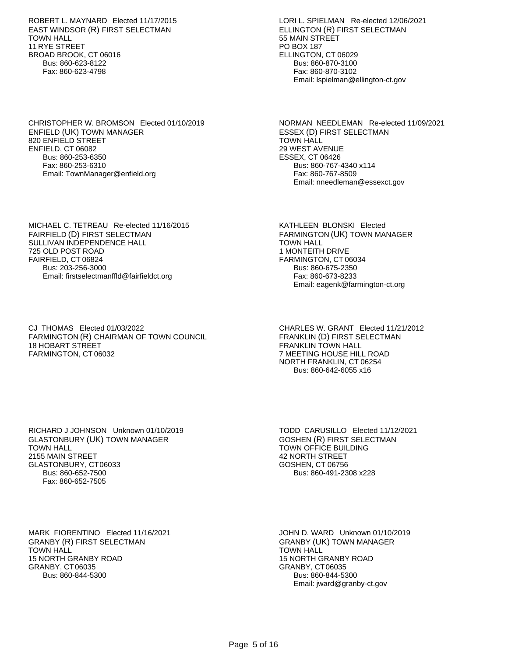ROBERT L. MAYNARD Elected 11/17/2015 EAST WINDSOR (R) FIRST SELECTMAN TOWN HALL 11 RYE STREET BROAD BROOK, CT 06016 Bus: 860-623-8122 Fax: 860-623-4798

CHRISTOPHER W. BROMSON Elected 01/10/2019 ENFIELD (UK) TOWN MANAGER 820 ENFIELD STREET ENFIELD, CT 06082 Bus: 860-253-6350 Fax: 860-253-6310 Email: TownManager@enfield.org

MICHAEL C. TETREAU Re-elected 11/16/2015 FAIRFIELD (D) FIRST SELECTMAN SULLIVAN INDEPENDENCE HALL 725 OLD POST ROAD FAIRFIELD, CT 06824 Bus: 203-256-3000 Email: firstselectmanffld@fairfieldct.org

CJ THOMAS Elected 01/03/2022 FARMINGTON (R) CHAIRMAN OF TOWN COUNCIL 18 HOBART STREET FARMINGTON, CT 06032

LORI L. SPIELMAN Re-elected 12/06/2021 ELLINGTON (R) FIRST SELECTMAN 55 MAIN STREET PO BOX 187 ELLINGTON, CT 06029 Bus: 860-870-3100 Fax: 860-870-3102 Email: lspielman@ellington-ct.gov

NORMAN NEEDLEMAN Re-elected 11/09/2021 ESSEX (D) FIRST SELECTMAN TOWN HALL 29 WEST AVENUE ESSEX, CT 06426 Bus: 860-767-4340 x114 Fax: 860-767-8509 Email: nneedleman@essexct.gov

KATHLEEN BLONSKI Elected FARMINGTON (UK) TOWN MANAGER TOWN HALL 1 MONTEITH DRIVE FARMINGTON, CT 06034 Bus: 860-675-2350 Fax: 860-673-8233 Email: eagenk@farmington-ct.org

CHARLES W. GRANT Elected 11/21/2012 FRANKLIN (D) FIRST SELECTMAN FRANKLIN TOWN HALL 7 MEETING HOUSE HILL ROAD NORTH FRANKLIN, CT 06254 Bus: 860-642-6055 x16

RICHARD J JOHNSON Unknown 01/10/2019 GLASTONBURY (UK) TOWN MANAGER TOWN HALL 2155 MAIN STREET GLASTONBURY, CT 06033 Bus: 860-652-7500 Fax: 860-652-7505

TODD CARUSILLO Elected 11/12/2021 GOSHEN (R) FIRST SELECTMAN TOWN OFFICE BUILDING 42 NORTH STREET GOSHEN, CT 06756 Bus: 860-491-2308 x228

MARK FIORENTINO Elected 11/16/2021 GRANBY (R) FIRST SELECTMAN TOWN HALL 15 NORTH GRANBY ROAD GRANBY, CT 06035 Bus: 860-844-5300

JOHN D. WARD Unknown 01/10/2019 GRANBY (UK) TOWN MANAGER TOWN HALL 15 NORTH GRANBY ROAD GRANBY, CT 06035 Bus: 860-844-5300 Email: jward@granby-ct.gov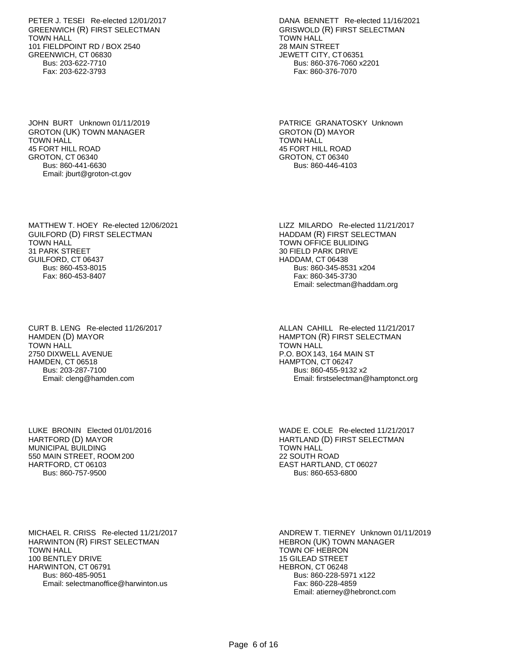PETER J. TESEI Re-elected 12/01/2017 GREENWICH (R) FIRST SELECTMAN TOWN HALL 101 FIELDPOINT RD / BOX 2540 GREENWICH, CT 06830 Bus: 203-622-7710 Fax: 203-622-3793

JOHN BURT Unknown 01/11/2019 GROTON (UK) TOWN MANAGER TOWN HALL 45 FORT HILL ROAD GROTON, CT 06340 Bus: 860-441-6630 Email: jburt@groton-ct.gov

MATTHEW T. HOEY Re-elected 12/06/2021 GUILFORD (D) FIRST SELECTMAN TOWN HALL 31 PARK STREET GUILFORD, CT 06437 Bus: 860-453-8015 Fax: 860-453-8407

CURT B. LENG Re-elected 11/26/2017 HAMDEN (D) MAYOR TOWN HALL 2750 DIXWELL AVENUE HAMDEN, CT 06518 Bus: 203-287-7100 Email: cleng@hamden.com

LUKE BRONIN Elected 01/01/2016 HARTFORD (D) MAYOR MUNICIPAL BUILDING 550 MAIN STREET, ROOM 200 HARTFORD, CT 06103 Bus: 860-757-9500

MICHAEL R. CRISS Re-elected 11/21/2017 HARWINTON (R) FIRST SELECTMAN TOWN HALL 100 BENTLEY DRIVE HARWINTON, CT 06791 Bus: 860-485-9051 Email: selectmanoffice@harwinton.us

DANA BENNETT Re-elected 11/16/2021 GRISWOLD (R) FIRST SELECTMAN TOWN HALL 28 MAIN STREET JEWETT CITY, CT 06351 Bus: 860-376-7060 x2201 Fax: 860-376-7070

PATRICE GRANATOSKY Unknown GROTON (D) MAYOR TOWN HALL 45 FORT HILL ROAD GROTON, CT 06340 Bus: 860-446-4103

LIZZ MILARDO Re-elected 11/21/2017 HADDAM (R) FIRST SELECTMAN TOWN OFFICE BULIDING 30 FIELD PARK DRIVE HADDAM, CT 06438 Bus: 860-345-8531 x204 Fax: 860-345-3730 Email: selectman@haddam.org

ALLAN CAHILL Re-elected 11/21/2017 HAMPTON (R) FIRST SELECTMAN TOWN HALL P.O. BOX 143, 164 MAIN ST HAMPTON, CT 06247 Bus: 860-455-9132 x2 Email: firstselectman@hamptonct.org

WADE E. COLE Re-elected 11/21/2017 HARTLAND (D) FIRST SELECTMAN TOWN HALL 22 SOUTH ROAD EAST HARTLAND, CT 06027 Bus: 860-653-6800

ANDREW T. TIERNEY Unknown 01/11/2019 HEBRON (UK) TOWN MANAGER TOWN OF HEBRON 15 GILEAD STREET HEBRON, CT 06248 Bus: 860-228-5971 x122 Fax: 860-228-4859 Email: atierney@hebronct.com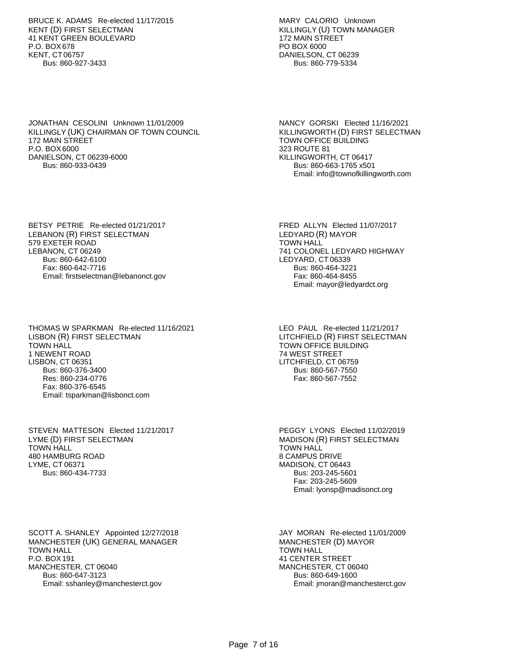BRUCE K. ADAMS Re-elected 11/17/2015 KENT (D) FIRST SELECTMAN 41 KENT GREEN BOULEVARD P.O. BOX 678 KENT, CT 06757 Bus: 860-927-3433

JONATHAN CESOLINI Unknown 11/01/2009 KILLINGLY (UK) CHAIRMAN OF TOWN COUNCIL 172 MAIN STREET P.O. BOX 6000 DANIELSON, CT 06239-6000 Bus: 860-933-0439

BETSY PETRIE Re-elected 01/21/2017 LEBANON (R) FIRST SELECTMAN 579 EXETER ROAD LEBANON, CT 06249 Bus: 860-642-6100 Fax: 860-642-7716 Email: firstselectman@lebanonct.gov

THOMAS W SPARKMAN Re-elected 11/16/2021 LISBON (R) FIRST SELECTMAN TOWN HALL 1 NEWENT ROAD LISBON, CT 06351 Bus: 860-376-3400 Res: 860-234-0776 Fax: 860-376-6545 Email: tsparkman@lisbonct.com

STEVEN MATTESON Elected 11/21/2017 LYME (D) FIRST SELECTMAN TOWN HALL 480 HAMBURG ROAD LYME, CT 06371 Bus: 860-434-7733

SCOTT A. SHANLEY Appointed 12/27/2018 MANCHESTER (UK) GENERAL MANAGER TOWN HALL P.O. BOX 191 MANCHESTER, CT 06040 Bus: 860-647-3123 Email: sshanley@manchesterct.gov

MARY CALORIO Unknown KILLINGLY (U) TOWN MANAGER 172 MAIN STREET PO BOX 6000 DANIELSON, CT 06239 Bus: 860-779-5334

NANCY GORSKI Elected 11/16/2021 KILLINGWORTH (D) FIRST SELECTMAN TOWN OFFICE BUILDING 323 ROUTE 81 KILLINGWORTH, CT 06417 Bus: 860-663-1765 x501 Email: info@townofkillingworth.com

FRED ALLYN Elected 11/07/2017 LEDYARD (R) MAYOR TOWN HALL 741 COLONEL LEDYARD HIGHWAY LEDYARD, CT 06339 Bus: 860-464-3221 Fax: 860-464-8455 Email: mayor@ledyardct.org

LEO PAUL Re-elected 11/21/2017 LITCHFIELD (R) FIRST SELECTMAN TOWN OFFICE BUILDING 74 WEST STREET LITCHFIELD, CT 06759 Bus: 860-567-7550 Fax: 860-567-7552

PEGGY LYONS Elected 11/02/2019 MADISON (R) FIRST SELECTMAN TOWN HALL 8 CAMPUS DRIVE MADISON, CT 06443 Bus: 203-245-5601 Fax: 203-245-5609 Email: lyonsp@madisonct.org

JAY MORAN Re-elected 11/01/2009 MANCHESTER (D) MAYOR TOWN HALL 41 CENTER STREET MANCHESTER, CT 06040 Bus: 860-649-1600 Email: jmoran@manchesterct.gov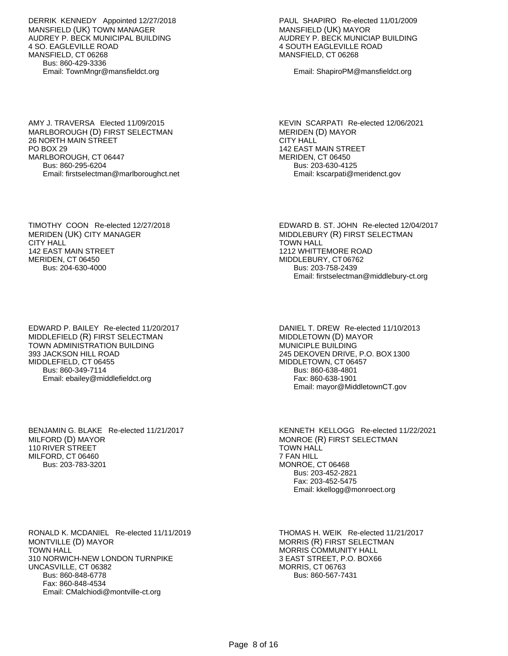DERRIK KENNEDY Appointed 12/27/2018 MANSFIELD (UK) TOWN MANAGER AUDREY P. BECK MUNICIPAL BUILDING 4 SO. EAGLEVILLE ROAD MANSFIELD, CT 06268 Bus: 860-429-3336 Email: TownMngr@mansfieldct.org

AMY J. TRAVERSA Elected 11/09/2015 MARLBOROUGH (D) FIRST SELECTMAN 26 NORTH MAIN STREET PO BOX 29 MARLBOROUGH, CT 06447 Bus: 860-295-6204 Email: firstselectman@marlboroughct.net PAUL SHAPIRO Re-elected 11/01/2009 MANSFIELD (UK) MAYOR AUDREY P. BECK MUNICIAP BUILDING 4 SOUTH EAGLEVILLE ROAD MANSFIELD, CT 06268

Email: ShapiroPM@mansfieldct.org

KEVIN SCARPATI Re-elected 12/06/2021 MERIDEN (D) MAYOR CITY HALL 142 EAST MAIN STREET MERIDEN, CT 06450 Bus: 203-630-4125 Email: kscarpati@meridenct.gov

EDWARD B. ST. JOHN Re-elected 12/04/2017 MIDDLEBURY (R) FIRST SELECTMAN

Email: firstselectman@middlebury-ct.org

TOWN HALL

1212 WHITTEMORE ROAD MIDDLEBURY, CT 06762 Bus: 203-758-2439

TIMOTHY COON Re-elected 12/27/2018 MERIDEN (UK) CITY MANAGER CITY HALL 142 EAST MAIN STREET MERIDEN, CT 06450 Bus: 204-630-4000

EDWARD P. BAILEY Re-elected 11/20/2017 MIDDLEFIELD (R) FIRST SELECTMAN TOWN ADMINISTRATION BUILDING 393 JACKSON HILL ROAD MIDDLEFIELD, CT 06455 Bus: 860-349-7114 Email: ebailey@middlefieldct.org

BENJAMIN G. BLAKE Re-elected 11/21/2017

MILFORD (D) MAYOR 110 RIVER STREET MILFORD, CT 06460 Bus: 203-783-3201 DANIEL T. DREW Re-elected 11/10/2013 MIDDLETOWN (D) MAYOR MUNICIPLE BUILDING 245 DEKOVEN DRIVE, P.O. BOX 1300 MIDDLETOWN, CT 06457 Bus: 860-638-4801 Fax: 860-638-1901 Email: mayor@MiddletownCT.gov

KENNETH KELLOGG Re-elected 11/22/2021 MONROE (R) FIRST SELECTMAN TOWN HALL 7 FAN HILL MONROE, CT 06468 Bus: 203-452-2821 Fax: 203-452-5475 Email: kkellogg@monroect.org

RONALD K. MCDANIEL Re-elected 11/11/2019 MONTVILLE (D) MAYOR TOWN HALL 310 NORWICH-NEW LONDON TURNPIKE UNCASVILLE, CT 06382 Bus: 860-848-6778 Fax: 860-848-4534 Email: CMalchiodi@montville-ct.org

THOMAS H. WEIK Re-elected 11/21/2017 MORRIS (R) FIRST SELECTMAN MORRIS COMMUNITY HALL 3 EAST STREET, P.O. BOX66 MORRIS, CT 06763 Bus: 860-567-7431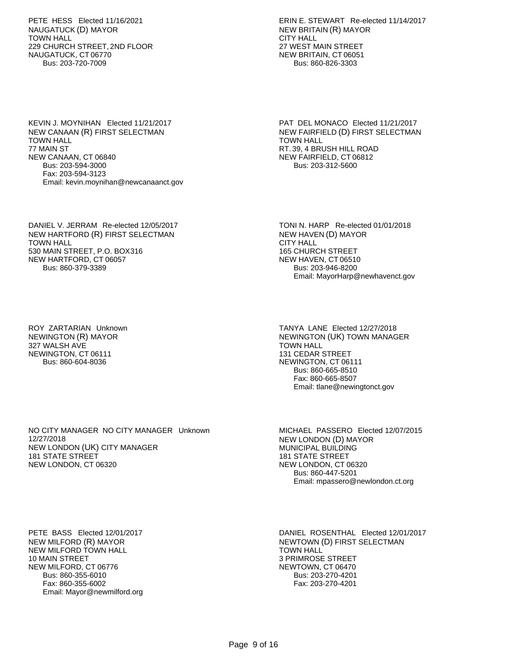PETE HESS Elected 11/16/2021 NAUGATUCK (D) MAYOR TOWN HALL 229 CHURCH STREET, 2ND FLOOR NAUGATUCK, CT 06770 Bus: 203-720-7009

ERIN E. STEWART Re-elected 11/14/2017 NEW BRITAIN (R) MAYOR CITY HALL 27 WEST MAIN STREET NEW BRITAIN, CT 06051 Bus: 860-826-3303

KEVIN J. MOYNIHAN Elected 11/21/2017 NEW CANAAN (R) FIRST SELECTMAN TOWN HALL 77 MAIN ST NEW CANAAN, CT 06840 Bus: 203-594-3000 Fax: 203-594-3123 Email: kevin.moynihan@newcanaanct.gov

PAT DEL MONACO Elected 11/21/2017 NEW FAIRFIELD (D) FIRST SELECTMAN TOWN HALL RT. 39, 4 BRUSH HILL ROAD NEW FAIRFIELD, CT 06812 Bus: 203-312-5600

DANIEL V. JERRAM Re-elected 12/05/2017 NEW HARTFORD (R) FIRST SELECTMAN TOWN HALL 530 MAIN STREET, P.O. BOX316 NEW HARTFORD, CT 06057 Bus: 860-379-3389

TONI N. HARP Re-elected 01/01/2018 NEW HAVEN (D) MAYOR CITY HALL 165 CHURCH STREET NEW HAVEN, CT 06510 Bus: 203-946-8200 Email: MayorHarp@newhavenct.gov

ROY ZARTARIAN Unknown NEWINGTON (R) MAYOR 327 WALSH AVE NEWINGTON, CT 06111 Bus: 860-604-8036

TANYA LANE Elected 12/27/2018 NEWINGTON (UK) TOWN MANAGER TOWN HALL 131 CEDAR STREET NEWINGTON, CT 06111 Bus: 860-665-8510 Fax: 860-665-8507 Email: tlane@newingtonct.gov

NO CITY MANAGER NO CITY MANAGER Unknown 12/27/2018 NEW LONDON (UK) CITY MANAGER 181 STATE STREET NEW LONDON, CT 06320

MICHAEL PASSERO Elected 12/07/2015 NEW LONDON (D) MAYOR MUNICIPAL BUILDING 181 STATE STREET NEW LONDON, CT 06320 Bus: 860-447-5201 Email: mpassero@newlondon.ct.org

PETE BASS Elected 12/01/2017 NEW MILFORD (R) MAYOR NEW MILFORD TOWN HALL 10 MAIN STREET NEW MILFORD, CT 06776 Bus: 860-355-6010 Fax: 860-355-6002 Email: Mayor@newmilford.org DANIEL ROSENTHAL Elected 12/01/2017 NEWTOWN (D) FIRST SELECTMAN TOWN HALL 3 PRIMROSE STREET NEWTOWN, CT 06470 Bus: 203-270-4201 Fax: 203-270-4201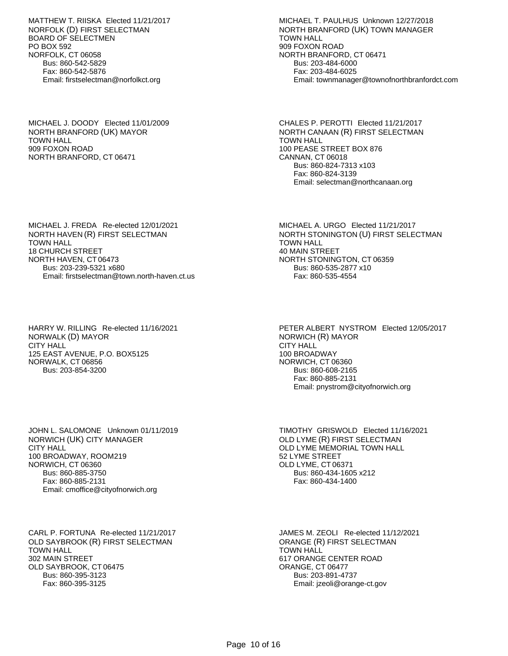MATTHEW T. RIISKA Elected 11/21/2017 NORFOLK (D) FIRST SELECTMAN BOARD OF SELECTMEN PO BOX 592 NORFOLK, CT 06058 Bus: 860-542-5829 Fax: 860-542-5876 Email: firstselectman@norfolkct.org

MICHAEL J. DOODY Elected 11/01/2009 NORTH BRANFORD (UK) MAYOR TOWN HALL 909 FOXON ROAD NORTH BRANFORD, CT 06471

MICHAEL T. PAULHUS Unknown 12/27/2018 NORTH BRANFORD (UK) TOWN MANAGER TOWN HALL 909 FOXON ROAD NORTH BRANFORD, CT 06471 Bus: 203-484-6000 Fax: 203-484-6025 Email: townmanager@townofnorthbranfordct.com

CHALES P. PEROTTI Elected 11/21/2017 NORTH CANAAN (R) FIRST SELECTMAN TOWN HALL 100 PEASE STREET BOX 876 CANNAN, CT 06018 Bus: 860-824-7313 x103 Fax: 860-824-3139 Email: selectman@northcanaan.org

MICHAEL A. URGO Elected 11/21/2017

NORTH STONINGTON, CT 06359 Bus: 860-535-2877 x10 Fax: 860-535-4554

TOWN HALL 40 MAIN STREET

NORTH STONINGTON (U) FIRST SELECTMAN

MICHAEL J. FREDA Re-elected 12/01/2021 NORTH HAVEN (R) FIRST SELECTMAN TOWN HALL 18 CHURCH STREET NORTH HAVEN, CT 06473 Bus: 203-239-5321 x680 Email: firstselectman@town.north-haven.ct.us

HARRY W. RILLING Re-elected 11/16/2021 NORWALK (D) MAYOR CITY HALL 125 EAST AVENUE, P.O. BOX5125 NORWALK, CT 06856 Bus: 203-854-3200

PETER ALBERT NYSTROM Elected 12/05/2017 NORWICH (R) MAYOR CITY HALL 100 BROADWAY NORWICH, CT 06360 Bus: 860-608-2165 Fax: 860-885-2131 Email: pnystrom@cityofnorwich.org

JOHN L. SALOMONE Unknown 01/11/2019 NORWICH (UK) CITY MANAGER CITY HALL 100 BROADWAY, ROOM219 NORWICH, CT 06360 Bus: 860-885-3750 Fax: 860-885-2131 Email: cmoffice@cityofnorwich.org

CARL P. FORTUNA Re-elected 11/21/2017 OLD SAYBROOK (R) FIRST SELECTMAN TOWN HALL 302 MAIN STREET OLD SAYBROOK, CT 06475 Bus: 860-395-3123 Fax: 860-395-3125

TIMOTHY GRISWOLD Elected 11/16/2021 OLD LYME (R) FIRST SELECTMAN OLD LYME MEMORIAL TOWN HALL 52 LYME STREET OLD LYME, CT 06371 Bus: 860-434-1605 x212 Fax: 860-434-1400

JAMES M. ZEOLI Re-elected 11/12/2021 ORANGE (R) FIRST SELECTMAN TOWN HALL 617 ORANGE CENTER ROAD ORANGE, CT 06477 Bus: 203-891-4737 Email: jzeoli@orange-ct.gov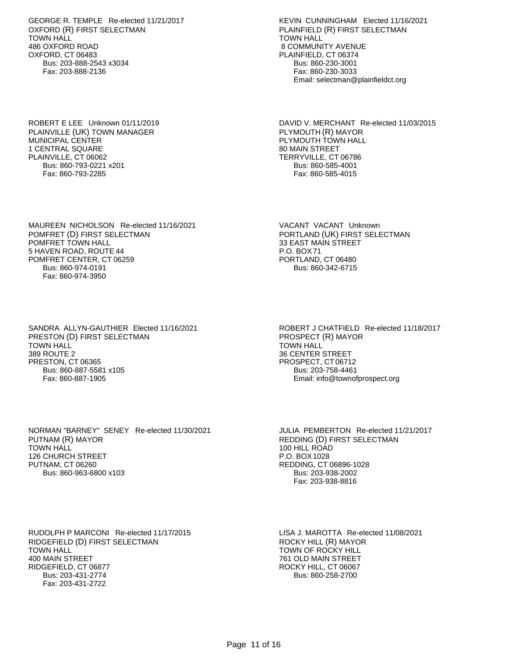GEORGE R. TEMPLE Re-elected 11/21/2017 OXFORD (R) FIRST SELECTMAN TOWN HALL 486 OXFORD ROAD OXFORD, CT 06483 Bus: 203-888-2543 x3034 Fax: 203-888-2136

ROBERT E LEE Unknown 01/11/2019 PLAINVILLE (UK) TOWN MANAGER MUNICIPAL CENTER 1 CENTRAL SQUARE PLAINVILLE, CT 06062 Bus: 860-793-0221 x201 Fax: 860-793-2285

KEVIN CUNNINGHAM Elected 11/16/2021 PLAINFIELD (R) FIRST SELECTMAN TOWN HALL 8 COMMUNITY AVENUE PLAINFIELD, CT 06374 Bus: 860-230-3001 Fax: 860-230-3033 Email: selectman@plainfieldct.org

DAVID V. MERCHANT Re-elected 11/03/2015 PLYMOUTH (R) MAYOR PLYMOUTH TOWN HALL 80 MAIN STREET TERRYVILLE, CT 06786 Bus: 860-585-4001 Fax: 860-585-4015

MAUREEN NICHOLSON Re-elected 11/16/2021 POMFRET (D) FIRST SELECTMAN POMFRET TOWN HALL 5 HAVEN ROAD, ROUTE 44 POMFRET CENTER, CT 06259 Bus: 860-974-0191 Fax: 860-974-3950

VACANT VACANT Unknown PORTLAND (UK) FIRST SELECTMAN 33 EAST MAIN STREET P.O. BOX 71 PORTLAND, CT 06480 Bus: 860-342-6715

SANDRA ALLYN-GAUTHIER Elected 11/16/2021 PRESTON (D) FIRST SELECTMAN TOWN HALL 389 ROUTE 2 PRESTON, CT 06365 Bus: 860-887-5581 x105 Fax: 860-887-1905

ROBERT J CHATFIELD Re-elected 11/18/2017 PROSPECT (R) MAYOR TOWN HALL 36 CENTER STREET PROSPECT, CT 06712 Bus: 203-758-4461 Email: info@townofprospect.org

NORMAN "BARNEY" SENEY Re-elected 11/30/2021 PUTNAM (R) MAYOR TOWN HALL 126 CHURCH STREET PUTNAM, CT 06260 Bus: 860-963-6800 x103

JULIA PEMBERTON Re-elected 11/21/2017 REDDING (D) FIRST SELECTMAN 100 HILL ROAD P.O. BOX 1028 REDDING, CT 06896-1028 Bus: 203-938-2002 Fax: 203-938-8816

RUDOLPH P MARCONI Re-elected 11/17/2015 RIDGEFIELD (D) FIRST SELECTMAN TOWN HALL 400 MAIN STREET RIDGEFIELD, CT 06877 Bus: 203-431-2774 Fax: 203-431-2722

LISA J. MAROTTA Re-elected 11/08/2021 ROCKY HILL (R) MAYOR TOWN OF ROCKY HILL 761 OLD MAIN STREET ROCKY HILL, CT 06067 Bus: 860-258-2700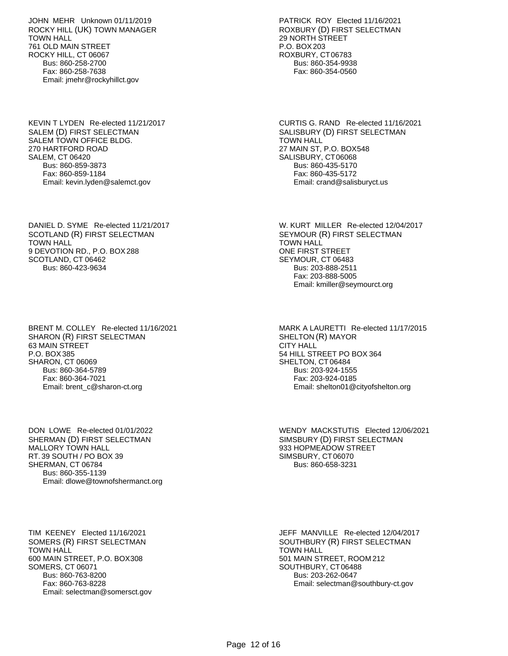JOHN MEHR Unknown 01/11/2019 ROCKY HILL (UK) TOWN MANAGER TOWN HALL 761 OLD MAIN STREET ROCKY HILL, CT 06067 Bus: 860-258-2700 Fax: 860-258-7638 Email: jmehr@rockyhillct.gov

KEVIN T LYDEN Re-elected 11/21/2017 SALEM (D) FIRST SELECTMAN SALEM TOWN OFFICE BLDG. 270 HARTFORD ROAD SALEM, CT 06420 Bus: 860-859-3873 Fax: 860-859-1184 Email: kevin.lyden@salemct.gov

DANIEL D. SYME Re-elected 11/21/2017 SCOTLAND (R) FIRST SELECTMAN TOWN HALL 9 DEVOTION RD., P.O. BOX 288 SCOTLAND, CT 06462 Bus: 860-423-9634

BRENT M. COLLEY Re-elected 11/16/2021 SHARON (R) FIRST SELECTMAN 63 MAIN STREET P.O. BOX 385 SHARON, CT 06069 Bus: 860-364-5789 Fax: 860-364-7021 Email: brent\_c@sharon-ct.org

DON LOWE Re-elected 01/01/2022 SHERMAN (D) FIRST SELECTMAN MALLORY TOWN HALL RT. 39 SOUTH / PO BOX 39 SHERMAN, CT 06784 Bus: 860-355-1139 Email: dlowe@townofshermanct.org

TIM KEENEY Elected 11/16/2021 SOMERS (R) FIRST SELECTMAN TOWN HALL 600 MAIN STREET, P.O. BOX 308 SOMERS, CT 06071 Bus: 860-763-8200 Fax: 860-763-8228 Email: selectman@somersct.gov PATRICK ROY Elected 11/16/2021 ROXBURY (D) FIRST SELECTMAN 29 NORTH STREET P.O. BOX 203 ROXBURY, CT 06783 Bus: 860-354-9938 Fax: 860-354-0560

CURTIS G. RAND Re-elected 11/16/2021 SALISBURY (D) FIRST SELECTMAN TOWN HALL 27 MAIN ST, P.O. BOX548 SALISBURY, CT 06068 Bus: 860-435-5170 Fax: 860-435-5172 Email: crand@salisburyct.us

W. KURT MILLER Re-elected 12/04/2017 SEYMOUR (R) FIRST SELECTMAN TOWN HALL ONE FIRST STREET SEYMOUR, CT 06483 Bus: 203-888-2511 Fax: 203-888-5005 Email: kmiller@seymourct.org

MARK A LAURETTI Re-elected 11/17/2015 SHELTON (R) MAYOR CITY HALL 54 HILL STREET PO BOX 364 SHELTON, CT 06484 Bus: 203-924-1555 Fax: 203-924-0185 Email: shelton01@cityofshelton.org

WENDY MACKSTUTIS Elected 12/06/2021 SIMSBURY (D) FIRST SELECTMAN 933 HOPMEADOW STREET SIMSBURY, CT 06070 Bus: 860-658-3231

JEFF MANVILLE Re-elected 12/04/2017 SOUTHBURY (R) FIRST SELECTMAN TOWN HALL 501 MAIN STREET, ROOM 212 SOUTHBURY, CT 06488 Bus: 203-262-0647 Email: selectman@southbury-ct.gov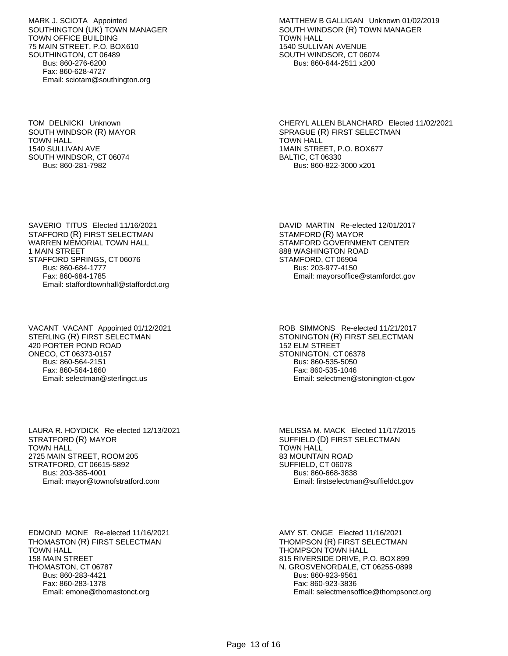MARK J. SCIOTA Appointed SOUTHINGTON (UK) TOWN MANAGER TOWN OFFICE BUILDING 75 MAIN STREET, P.O. BOX610 SOUTHINGTON, CT 06489 Bus: 860-276-6200 Fax: 860-628-4727 Email: sciotam@southington.org

TOM DELNICKI Unknown SOUTH WINDSOR (R) MAYOR TOWN HALL 1540 SULLIVAN AVE SOUTH WINDSOR, CT 06074 Bus: 860-281-7982

MATTHEW B GALLIGAN Unknown 01/02/2019 SOUTH WINDSOR (R) TOWN MANAGER TOWN HALL 1540 SULLIVAN AVENUE SOUTH WINDSOR, CT 06074 Bus: 860-644-2511 x200

CHERYL ALLEN BLANCHARD Elected 11/02/2021 SPRAGUE (R) FIRST SELECTMAN TOWN HALL 1MAIN STREET, P.O. BOX677 BALTIC, CT 06330 Bus: 860-822-3000 x201

SAVERIO TITUS Elected 11/16/2021 STAFFORD (R) FIRST SELECTMAN WARREN MEMORIAL TOWN HALL 1 MAIN STREET STAFFORD SPRINGS, CT 06076 Bus: 860-684-1777 Fax: 860-684-1785 Email: staffordtownhall@staffordct.org

VACANT VACANT Appointed 01/12/2021 STERLING (R) FIRST SELECTMAN 420 PORTER POND ROAD ONECO, CT 06373-0157 Bus: 860-564-2151 Fax: 860-564-1660 Email: selectman@sterlingct.us

ROB SIMMONS Re-elected 11/21/2017 STONINGTON (R) FIRST SELECTMAN 152 ELM STREET STONINGTON, CT 06378 Bus: 860-535-5050 Fax: 860-535-1046 Email: selectmen@stonington-ct.gov

DAVID MARTIN Re-elected 12/01/2017

STAMFORD GOVERNMENT CENTER

Email: mayorsoffice@stamfordct.gov

STAMFORD (R) MAYOR

888 WASHINGTON ROAD STAMFORD, CT 06904 Bus: 203-977-4150

LAURA R. HOYDICK Re-elected 12/13/2021 STRATFORD (R) MAYOR TOWN HALL 2725 MAIN STREET, ROOM 205 STRATFORD, CT 06615-5892 Bus: 203-385-4001 Email: mayor@townofstratford.com

MELISSA M. MACK Elected 11/17/2015 SUFFIELD (D) FIRST SELECTMAN TOWN HALL 83 MOUNTAIN ROAD SUFFIELD, CT 06078 Bus: 860-668-3838 Email: firstselectman@suffieldct.gov

EDMOND MONE Re-elected 11/16/2021 THOMASTON (R) FIRST SELECTMAN TOWN HALL 158 MAIN STREET THOMASTON, CT 06787 Bus: 860-283-4421 Fax: 860-283-1378 Email: emone@thomastonct.org

AMY ST. ONGE Elected 11/16/2021 THOMPSON (R) FIRST SELECTMAN THOMPSON TOWN HALL 815 RIVERSIDE DRIVE, P.O. BOX 899 N. GROSVENORDALE, CT 06255-0899 Bus: 860-923-9561 Fax: 860-923-3836 Email: selectmensoffice@thompsonct.org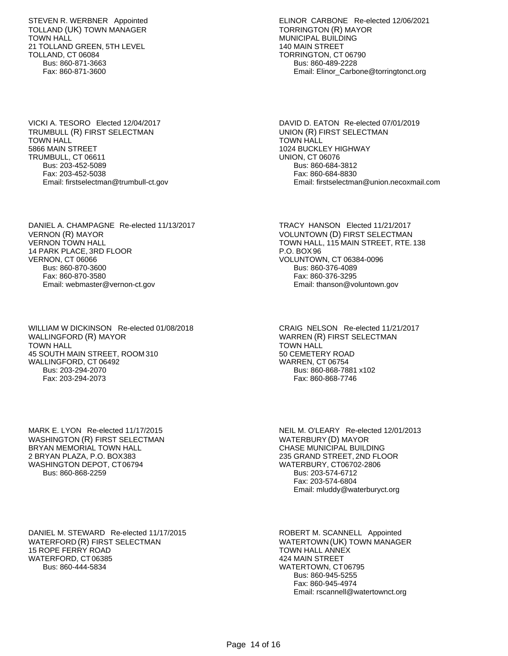STEVEN R. WERBNER Appointed TOLLAND (UK) TOWN MANAGER TOWN HALL 21 TOLLAND GREEN, 5TH LEVEL TOLLAND, CT 06084 Bus: 860-871-3663 Fax: 860-871-3600

VICKI A. TESORO Elected 12/04/2017 TRUMBULL (R) FIRST SELECTMAN TOWN HALL 5866 MAIN STREET TRUMBULL, CT 06611 Bus: 203-452-5089 Fax: 203-452-5038 Email: firstselectman@trumbull-ct.gov

DANIEL A. CHAMPAGNE Re-elected 11/13/2017 VERNON (R) MAYOR VERNON TOWN HALL 14 PARK PLACE, 3RD FLOOR VERNON, CT 06066 Bus: 860-870-3600 Fax: 860-870-3580 Email: webmaster@vernon-ct.gov

WILLIAM W DICKINSON Re-elected 01/08/2018 WALLINGFORD (R) MAYOR TOWN HALL 45 SOUTH MAIN STREET, ROOM 310 WALLINGFORD, CT 06492 Bus: 203-294-2070 Fax: 203-294-2073

MARK E. LYON Re-elected 11/17/2015 WASHINGTON (R) FIRST SELECTMAN BRYAN MEMORIAL TOWN HALL 2 BRYAN PLAZA, P.O. BOX 383 WASHINGTON DEPOT, CT06794 Bus: 860-868-2259

DANIEL M. STEWARD Re-elected 11/17/2015 WATERFORD (R) FIRST SELECTMAN 15 ROPE FERRY ROAD WATERFORD, CT 06385 Bus: 860-444-5834

ELINOR CARBONE Re-elected 12/06/2021 TORRINGTON (R) MAYOR MUNICIPAL BUILDING 140 MAIN STREET TORRINGTON, CT 06790 Bus: 860-489-2228 Email: Elinor\_Carbone@torringtonct.org

DAVID D. EATON Re-elected 07/01/2019 UNION (R) FIRST SELECTMAN TOWN HALL 1024 BUCKLEY HIGHWAY UNION, CT 06076 Bus: 860-684-3812 Fax: 860-684-8830 Email: firstselectman@union.necoxmail.com

TRACY HANSON Elected 11/21/2017 VOLUNTOWN (D) FIRST SELECTMAN TOWN HALL, 115 MAIN STREET, RTE. 138 P.O. BOX 96 VOLUNTOWN, CT 06384-0096 Bus: 860-376-4089 Fax: 860-376-3295 Email: thanson@voluntown.gov

CRAIG NELSON Re-elected 11/21/2017 WARREN (R) FIRST SELECTMAN TOWN HALL 50 CEMETERY ROAD WARREN, CT 06754 Bus: 860-868-7881 x102 Fax: 860-868-7746

NEIL M. O'LEARY Re-elected 12/01/2013 WATERBURY(D) MAYOR CHASE MUNICIPAL BUILDING 235 GRAND STREET, 2ND FLOOR WATERBURY, CT06702-2806 Bus: 203-574-6712 Fax: 203-574-6804 Email: mluddy@waterburyct.org

ROBERT M. SCANNELL Appointed WATERTOWN(UK) TOWN MANAGER TOWN HALL ANNEX 424 MAIN STREET WATERTOWN, CT 06795 Bus: 860-945-5255 Fax: 860-945-4974 Email: rscannell@watertownct.org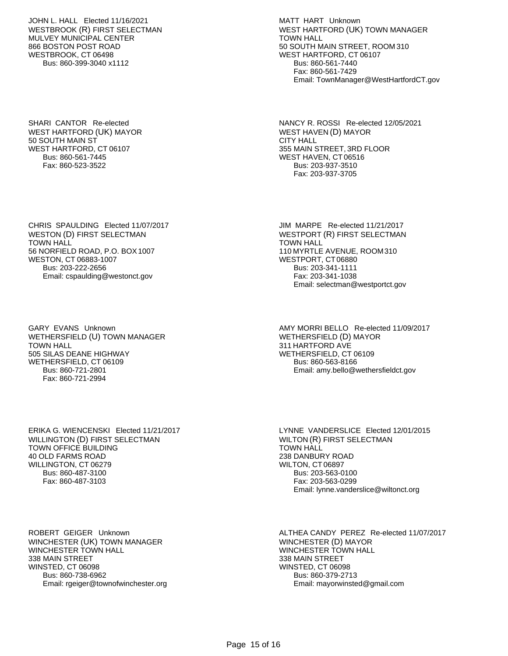JOHN L. HALL Elected 11/16/2021 WESTBROOK (R) FIRST SELECTMAN MULVEY MUNICIPAL CENTER 866 BOSTON POST ROAD WESTBROOK, CT 06498 Bus: 860-399-3040 x1112

SHARI CANTOR Re-elected WEST HARTFORD (UK) MAYOR 50 SOUTH MAIN ST WEST HARTFORD, CT 06107 Bus: 860-561-7445 Fax: 860-523-3522

CHRIS SPAULDING Elected 11/07/2017 WESTON (D) FIRST SELECTMAN TOWN HALL 56 NORFIELD ROAD, P.O. BOX 1007 WESTON, CT 06883-1007 Bus: 203-222-2656 Email: cspaulding@westonct.gov

GARY EVANS Unknown WETHERSFIELD (U) TOWN MANAGER TOWN HALL 505 SILAS DEANE HIGHWAY WETHERSFIELD, CT 06109 Bus: 860-721-2801 Fax: 860-721-2994

ERIKA G. WIENCENSKI Elected 11/21/2017 WILLINGTON (D) FIRST SELECTMAN TOWN OFFICE BUILDING 40 OLD FARMS ROAD WILLINGTON, CT 06279 Bus: 860-487-3100 Fax: 860-487-3103

ROBERT GEIGER Unknown WINCHESTER (UK) TOWN MANAGER WINCHESTER TOWN HALL 338 MAIN STREET WINSTED, CT 06098 Bus: 860-738-6962 Email: rgeiger@townofwinchester.org MATT HART Unknown WEST HARTFORD (UK) TOWN MANAGER TOWN HALL 50 SOUTH MAIN STREET, ROOM 310 WEST HARTFORD, CT 06107 Bus: 860-561-7440 Fax: 860-561-7429 Email: TownManager@WestHartfordCT.gov

NANCY R. ROSSI Re-elected 12/05/2021 WEST HAVEN (D) MAYOR CITY HALL 355 MAIN STREET, 3RD FLOOR WEST HAVEN, CT 06516 Bus: 203-937-3510 Fax: 203-937-3705

JIM MARPE Re-elected 11/21/2017 WESTPORT (R) FIRST SELECTMAN TOWN HALL 110 MYRTLE AVENUE, ROOM 310 WESTPORT, CT 06880 Bus: 203-341-1111 Fax: 203-341-1038 Email: selectman@westportct.gov

AMY MORRI BELLO Re-elected 11/09/2017 WETHERSFIELD (D) MAYOR 311 HARTFORD AVE WETHERSFIELD, CT 06109 Bus: 860-563-8166 Email: amy.bello@wethersfieldct.gov

LYNNE VANDERSLICE Elected 12/01/2015 WILTON (R) FIRST SELECTMAN TOWN HALL 238 DANBURY ROAD WILTON, CT 06897 Bus: 203-563-0100 Fax: 203-563-0299 Email: lynne.vanderslice@wiltonct.org

ALTHEA CANDY PEREZ Re-elected 11/07/2017 WINCHESTER (D) MAYOR WINCHESTER TOWN HALL 338 MAIN STREET WINSTED, CT 06098 Bus: 860-379-2713 Email: mayorwinsted@gmail.com